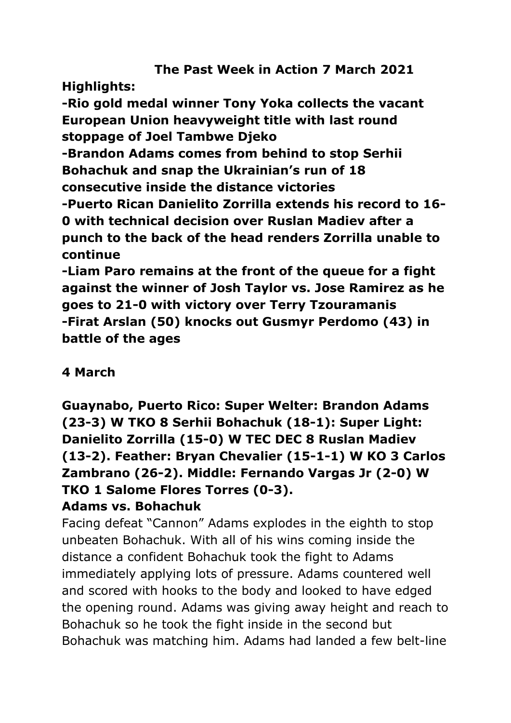# **The Past Week in Action 7 March 2021**

**Highlights:**

**-Rio gold medal winner Tony Yoka collects the vacant European Union heavyweight title with last round stoppage of Joel Tambwe Djeko -Brandon Adams comes from behind to stop Serhii Bohachuk and snap the Ukrainian's run of 18 consecutive inside the distance victories -Puerto Rican Danielito Zorrilla extends his record to 16- 0 with technical decision over Ruslan Madiev after a punch to the back of the head renders Zorrilla unable to continue**

**-Liam Paro remains at the front of the queue for a fight against the winner of Josh Taylor vs. Jose Ramirez as he goes to 21-0 with victory over Terry Tzouramanis -Firat Arslan (50) knocks out Gusmyr Perdomo (43) in battle of the ages**

# **4 March**

**Guaynabo, Puerto Rico: Super Welter: Brandon Adams (23-3) W TKO 8 Serhii Bohachuk (18-1): Super Light: Danielito Zorrilla (15-0) W TEC DEC 8 Ruslan Madiev (13-2). Feather: Bryan Chevalier (15-1-1) W KO 3 Carlos Zambrano (26-2). Middle: Fernando Vargas Jr (2-0) W TKO 1 Salome Flores Torres (0-3).**

# **Adams vs. Bohachuk**

Facing defeat "Cannon" Adams explodes in the eighth to stop unbeaten Bohachuk. With all of his wins coming inside the distance a confident Bohachuk took the fight to Adams immediately applying lots of pressure. Adams countered well and scored with hooks to the body and looked to have edged the opening round. Adams was giving away height and reach to Bohachuk so he took the fight inside in the second but Bohachuk was matching him. Adams had landed a few belt-line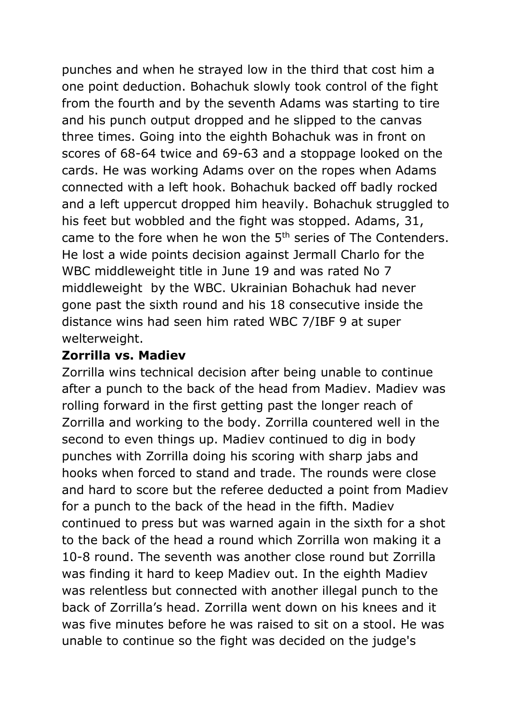punches and when he strayed low in the third that cost him a one point deduction. Bohachuk slowly took control of the fight from the fourth and by the seventh Adams was starting to tire and his punch output dropped and he slipped to the canvas three times. Going into the eighth Bohachuk was in front on scores of 68-64 twice and 69-63 and a stoppage looked on the cards. He was working Adams over on the ropes when Adams connected with a left hook. Bohachuk backed off badly rocked and a left uppercut dropped him heavily. Bohachuk struggled to his feet but wobbled and the fight was stopped. Adams, 31, came to the fore when he won the 5<sup>th</sup> series of The Contenders. He lost a wide points decision against Jermall Charlo for the WBC middleweight title in June 19 and was rated No 7 middleweight by the WBC. Ukrainian Bohachuk had never gone past the sixth round and his 18 consecutive inside the distance wins had seen him rated WBC 7/IBF 9 at super welterweight.

#### **Zorrilla vs. Madiev**

Zorrilla wins technical decision after being unable to continue after a punch to the back of the head from Madiev. Madiev was rolling forward in the first getting past the longer reach of Zorrilla and working to the body. Zorrilla countered well in the second to even things up. Madiev continued to dig in body punches with Zorrilla doing his scoring with sharp jabs and hooks when forced to stand and trade. The rounds were close and hard to score but the referee deducted a point from Madiev for a punch to the back of the head in the fifth. Madiev continued to press but was warned again in the sixth for a shot to the back of the head a round which Zorrilla won making it a 10-8 round. The seventh was another close round but Zorrilla was finding it hard to keep Madiev out. In the eighth Madiev was relentless but connected with another illegal punch to the back of Zorrilla's head. Zorrilla went down on his knees and it was five minutes before he was raised to sit on a stool. He was unable to continue so the fight was decided on the judge's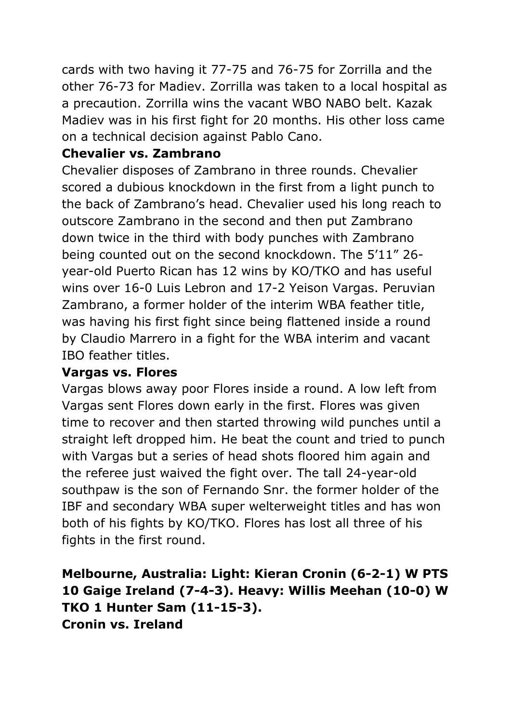cards with two having it 77-75 and 76-75 for Zorrilla and the other 76-73 for Madiev. Zorrilla was taken to a local hospital as a precaution. Zorrilla wins the vacant WBO NABO belt. Kazak Madiev was in his first fight for 20 months. His other loss came on a technical decision against Pablo Cano.

#### **Chevalier vs. Zambrano**

Chevalier disposes of Zambrano in three rounds. Chevalier scored a dubious knockdown in the first from a light punch to the back of Zambrano's head. Chevalier used his long reach to outscore Zambrano in the second and then put Zambrano down twice in the third with body punches with Zambrano being counted out on the second knockdown. The 5'11" 26 year-old Puerto Rican has 12 wins by KO/TKO and has useful wins over 16-0 Luis Lebron and 17-2 Yeison Vargas. Peruvian Zambrano, a former holder of the interim WBA feather title, was having his first fight since being flattened inside a round by Claudio Marrero in a fight for the WBA interim and vacant IBO feather titles.

#### **Vargas vs. Flores**

Vargas blows away poor Flores inside a round. A low left from Vargas sent Flores down early in the first. Flores was given time to recover and then started throwing wild punches until a straight left dropped him. He beat the count and tried to punch with Vargas but a series of head shots floored him again and the referee just waived the fight over. The tall 24-year-old southpaw is the son of Fernando Snr. the former holder of the IBF and secondary WBA super welterweight titles and has won both of his fights by KO/TKO. Flores has lost all three of his fights in the first round.

## **Melbourne, Australia: Light: Kieran Cronin (6-2-1) W PTS 10 Gaige Ireland (7-4-3). Heavy: Willis Meehan (10-0) W TKO 1 Hunter Sam (11-15-3). Cronin vs. Ireland**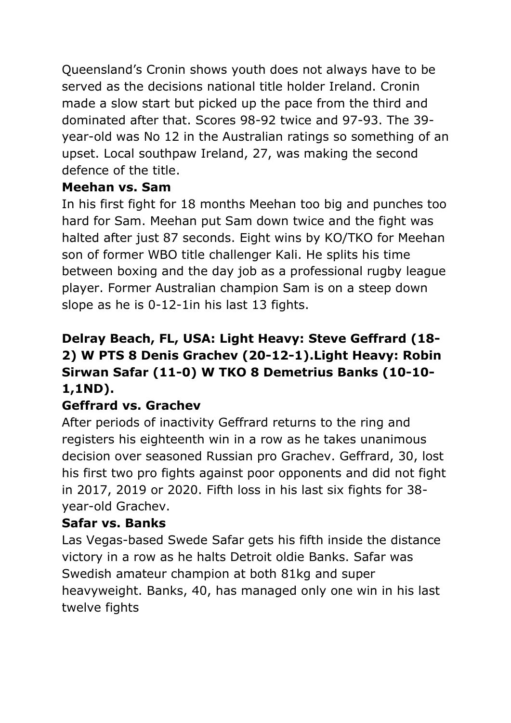Queensland's Cronin shows youth does not always have to be served as the decisions national title holder Ireland. Cronin made a slow start but picked up the pace from the third and dominated after that. Scores 98-92 twice and 97-93. The 39 year-old was No 12 in the Australian ratings so something of an upset. Local southpaw Ireland, 27, was making the second defence of the title.

## **Meehan vs. Sam**

In his first fight for 18 months Meehan too big and punches too hard for Sam. Meehan put Sam down twice and the fight was halted after just 87 seconds. Eight wins by KO/TKO for Meehan son of former WBO title challenger Kali. He splits his time between boxing and the day job as a professional rugby league player. Former Australian champion Sam is on a steep down slope as he is 0-12-1in his last 13 fights.

# **Delray Beach, FL, USA: Light Heavy: Steve Geffrard (18- 2) W PTS 8 Denis Grachev (20-12-1).Light Heavy: Robin Sirwan Safar (11-0) W TKO 8 Demetrius Banks (10-10- 1,1ND).**

# **Geffrard vs. Grachev**

After periods of inactivity Geffrard returns to the ring and registers his eighteenth win in a row as he takes unanimous decision over seasoned Russian pro Grachev. Geffrard, 30, lost his first two pro fights against poor opponents and did not fight in 2017, 2019 or 2020. Fifth loss in his last six fights for 38 year-old Grachev.

## **Safar vs. Banks**

Las Vegas-based Swede Safar gets his fifth inside the distance victory in a row as he halts Detroit oldie Banks. Safar was Swedish amateur champion at both 81kg and super heavyweight. Banks, 40, has managed only one win in his last twelve fights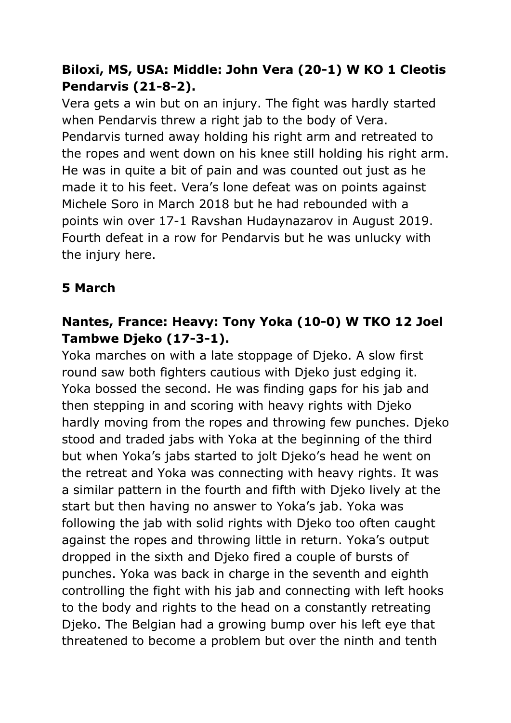## **Biloxi, MS, USA: Middle: John Vera (20-1) W KO 1 Cleotis Pendarvis (21-8-2).**

Vera gets a win but on an injury. The fight was hardly started when Pendarvis threw a right jab to the body of Vera. Pendarvis turned away holding his right arm and retreated to the ropes and went down on his knee still holding his right arm. He was in quite a bit of pain and was counted out just as he made it to his feet. Vera's lone defeat was on points against Michele Soro in March 2018 but he had rebounded with a points win over 17-1 Ravshan Hudaynazarov in August 2019. Fourth defeat in a row for Pendarvis but he was unlucky with the injury here.

# **5 March**

## **Nantes, France: Heavy: Tony Yoka (10-0) W TKO 12 Joel Tambwe Djeko (17-3-1).**

Yoka marches on with a late stoppage of Djeko. A slow first round saw both fighters cautious with Djeko just edging it. Yoka bossed the second. He was finding gaps for his jab and then stepping in and scoring with heavy rights with Djeko hardly moving from the ropes and throwing few punches. Djeko stood and traded jabs with Yoka at the beginning of the third but when Yoka's jabs started to jolt Djeko's head he went on the retreat and Yoka was connecting with heavy rights. It was a similar pattern in the fourth and fifth with Djeko lively at the start but then having no answer to Yoka's jab. Yoka was following the jab with solid rights with Djeko too often caught against the ropes and throwing little in return. Yoka's output dropped in the sixth and Djeko fired a couple of bursts of punches. Yoka was back in charge in the seventh and eighth controlling the fight with his jab and connecting with left hooks to the body and rights to the head on a constantly retreating Djeko. The Belgian had a growing bump over his left eye that threatened to become a problem but over the ninth and tenth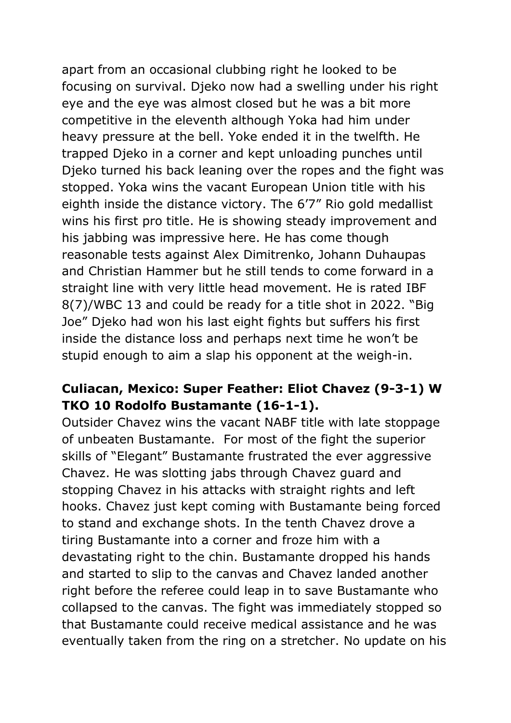apart from an occasional clubbing right he looked to be focusing on survival. Djeko now had a swelling under his right eye and the eye was almost closed but he was a bit more competitive in the eleventh although Yoka had him under heavy pressure at the bell. Yoke ended it in the twelfth. He trapped Djeko in a corner and kept unloading punches until Djeko turned his back leaning over the ropes and the fight was stopped. Yoka wins the vacant European Union title with his eighth inside the distance victory. The 6'7" Rio gold medallist wins his first pro title. He is showing steady improvement and his jabbing was impressive here. He has come though reasonable tests against Alex Dimitrenko, Johann Duhaupas and Christian Hammer but he still tends to come forward in a straight line with very little head movement. He is rated IBF 8(7)/WBC 13 and could be ready for a title shot in 2022. "Big Joe" Djeko had won his last eight fights but suffers his first inside the distance loss and perhaps next time he won't be stupid enough to aim a slap his opponent at the weigh-in.

#### **Culiacan, Mexico: Super Feather: Eliot Chavez (9-3-1) W TKO 10 Rodolfo Bustamante (16-1-1).**

Outsider Chavez wins the vacant NABF title with late stoppage of unbeaten Bustamante. For most of the fight the superior skills of "Elegant" Bustamante frustrated the ever aggressive Chavez. He was slotting jabs through Chavez guard and stopping Chavez in his attacks with straight rights and left hooks. Chavez just kept coming with Bustamante being forced to stand and exchange shots. In the tenth Chavez drove a tiring Bustamante into a corner and froze him with a devastating right to the chin. Bustamante dropped his hands and started to slip to the canvas and Chavez landed another right before the referee could leap in to save Bustamante who collapsed to the canvas. The fight was immediately stopped so that Bustamante could receive medical assistance and he was eventually taken from the ring on a stretcher. No update on his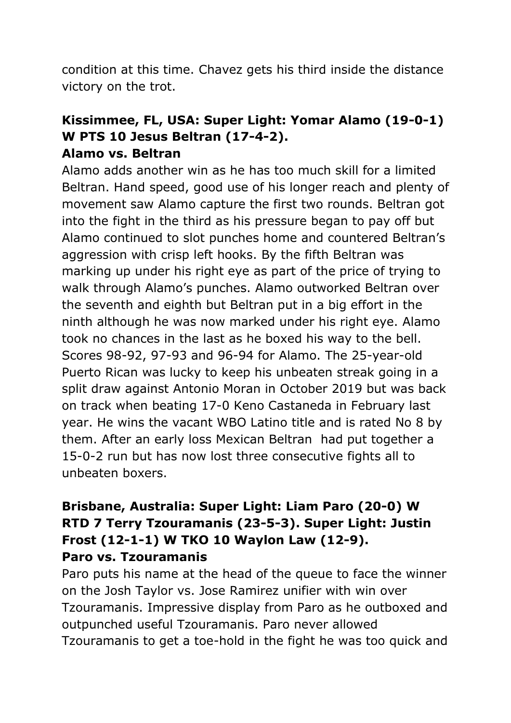condition at this time. Chavez gets his third inside the distance victory on the trot.

#### **Kissimmee, FL, USA: Super Light: Yomar Alamo (19-0-1) W PTS 10 Jesus Beltran (17-4-2). Alamo vs. Beltran**

Alamo adds another win as he has too much skill for a limited Beltran. Hand speed, good use of his longer reach and plenty of movement saw Alamo capture the first two rounds. Beltran got into the fight in the third as his pressure began to pay off but Alamo continued to slot punches home and countered Beltran's aggression with crisp left hooks. By the fifth Beltran was marking up under his right eye as part of the price of trying to walk through Alamo's punches. Alamo outworked Beltran over the seventh and eighth but Beltran put in a big effort in the ninth although he was now marked under his right eye. Alamo took no chances in the last as he boxed his way to the bell. Scores 98-92, 97-93 and 96-94 for Alamo. The 25-year-old Puerto Rican was lucky to keep his unbeaten streak going in a split draw against Antonio Moran in October 2019 but was back on track when beating 17-0 Keno Castaneda in February last year. He wins the vacant WBO Latino title and is rated No 8 by them. After an early loss Mexican Beltran had put together a 15-0-2 run but has now lost three consecutive fights all to unbeaten boxers.

#### **Brisbane, Australia: Super Light: Liam Paro (20-0) W RTD 7 Terry Tzouramanis (23-5-3). Super Light: Justin Frost (12-1-1) W TKO 10 Waylon Law (12-9). Paro vs. Tzouramanis**

Paro puts his name at the head of the queue to face the winner on the Josh Taylor vs. Jose Ramirez unifier with win over Tzouramanis. Impressive display from Paro as he outboxed and outpunched useful Tzouramanis. Paro never allowed Tzouramanis to get a toe-hold in the fight he was too quick and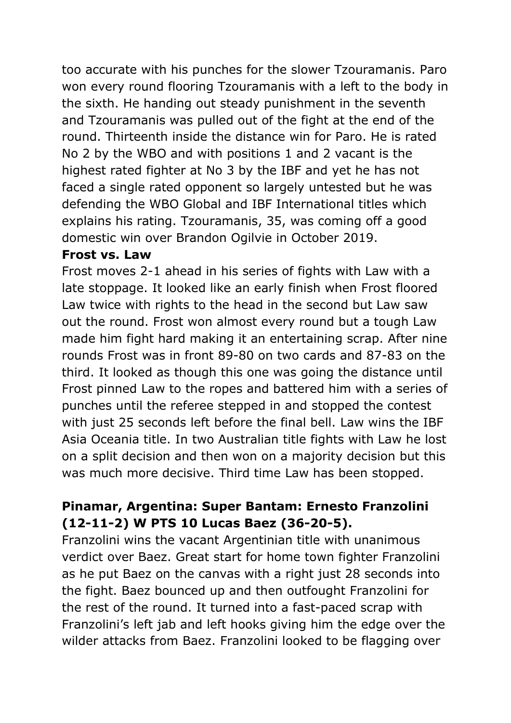too accurate with his punches for the slower Tzouramanis. Paro won every round flooring Tzouramanis with a left to the body in the sixth. He handing out steady punishment in the seventh and Tzouramanis was pulled out of the fight at the end of the round. Thirteenth inside the distance win for Paro. He is rated No 2 by the WBO and with positions 1 and 2 vacant is the highest rated fighter at No 3 by the IBF and yet he has not faced a single rated opponent so largely untested but he was defending the WBO Global and IBF International titles which explains his rating. Tzouramanis, 35, was coming off a good domestic win over Brandon Ogilvie in October 2019.

#### **Frost vs. Law**

Frost moves 2-1 ahead in his series of fights with Law with a late stoppage. It looked like an early finish when Frost floored Law twice with rights to the head in the second but Law saw out the round. Frost won almost every round but a tough Law made him fight hard making it an entertaining scrap. After nine rounds Frost was in front 89-80 on two cards and 87-83 on the third. It looked as though this one was going the distance until Frost pinned Law to the ropes and battered him with a series of punches until the referee stepped in and stopped the contest with just 25 seconds left before the final bell. Law wins the IBF Asia Oceania title. In two Australian title fights with Law he lost on a split decision and then won on a majority decision but this was much more decisive. Third time Law has been stopped.

## **Pinamar, Argentina: Super Bantam: Ernesto Franzolini (12-11-2) W PTS 10 Lucas Baez (36-20-5).**

Franzolini wins the vacant Argentinian title with unanimous verdict over Baez. Great start for home town fighter Franzolini as he put Baez on the canvas with a right just 28 seconds into the fight. Baez bounced up and then outfought Franzolini for the rest of the round. It turned into a fast-paced scrap with Franzolini's left jab and left hooks giving him the edge over the wilder attacks from Baez. Franzolini looked to be flagging over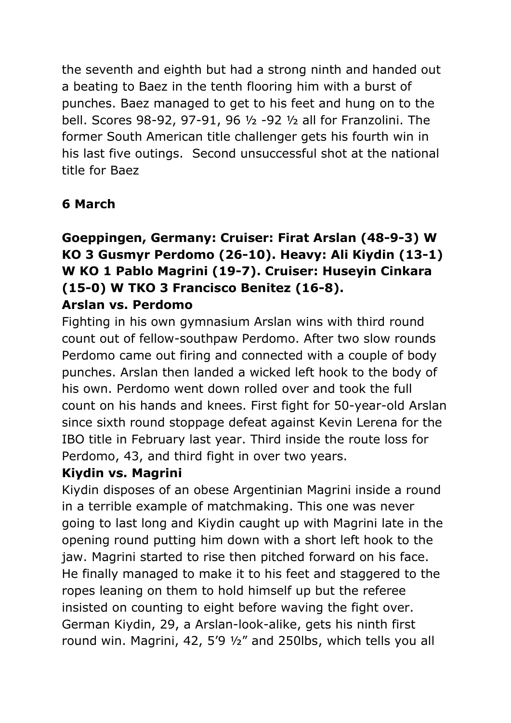the seventh and eighth but had a strong ninth and handed out a beating to Baez in the tenth flooring him with a burst of punches. Baez managed to get to his feet and hung on to the bell. Scores 98-92, 97-91, 96 ½ -92 ½ all for Franzolini. The former South American title challenger gets his fourth win in his last five outings. Second unsuccessful shot at the national title for Baez

# **6 March**

## **Goeppingen, Germany: Cruiser: Firat Arslan (48-9-3) W KO 3 Gusmyr Perdomo (26-10). Heavy: Ali Kiydin (13-1) W KO 1 Pablo Magrini (19-7). Cruiser: Huseyin Cinkara (15-0) W TKO 3 Francisco Benitez (16-8). Arslan vs. Perdomo**

Fighting in his own gymnasium Arslan wins with third round count out of fellow-southpaw Perdomo. After two slow rounds Perdomo came out firing and connected with a couple of body punches. Arslan then landed a wicked left hook to the body of his own. Perdomo went down rolled over and took the full count on his hands and knees. First fight for 50-year-old Arslan since sixth round stoppage defeat against Kevin Lerena for the IBO title in February last year. Third inside the route loss for Perdomo, 43, and third fight in over two years.

#### **Kiydin vs. Magrini**

Kiydin disposes of an obese Argentinian Magrini inside a round in a terrible example of matchmaking. This one was never going to last long and Kiydin caught up with Magrini late in the opening round putting him down with a short left hook to the jaw. Magrini started to rise then pitched forward on his face. He finally managed to make it to his feet and staggered to the ropes leaning on them to hold himself up but the referee insisted on counting to eight before waving the fight over. German Kiydin, 29, a Arslan-look-alike, gets his ninth first round win. Magrini, 42, 5'9 ½" and 250lbs, which tells you all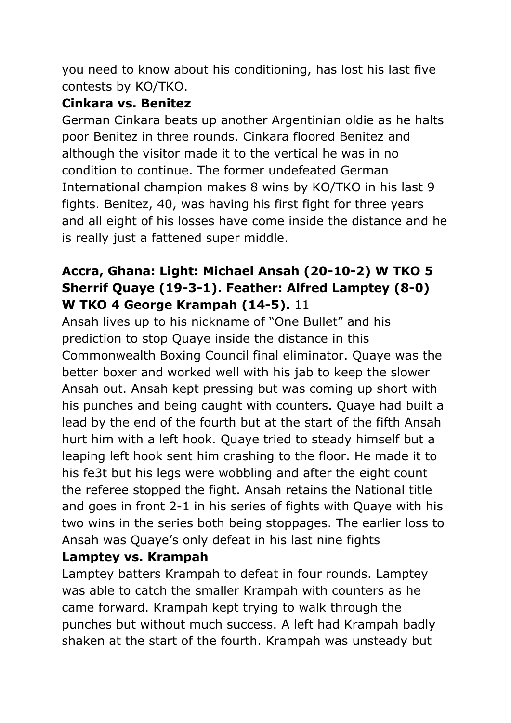you need to know about his conditioning, has lost his last five contests by KO/TKO.

## **Cinkara vs. Benitez**

German Cinkara beats up another Argentinian oldie as he halts poor Benitez in three rounds. Cinkara floored Benitez and although the visitor made it to the vertical he was in no condition to continue. The former undefeated German International champion makes 8 wins by KO/TKO in his last 9 fights. Benitez, 40, was having his first fight for three years and all eight of his losses have come inside the distance and he is really just a fattened super middle.

# **Accra, Ghana: Light: Michael Ansah (20-10-2) W TKO 5 Sherrif Quaye (19-3-1). Feather: Alfred Lamptey (8-0) W TKO 4 George Krampah (14-5).** 11

Ansah lives up to his nickname of "One Bullet" and his prediction to stop Quaye inside the distance in this Commonwealth Boxing Council final eliminator. Quaye was the better boxer and worked well with his jab to keep the slower Ansah out. Ansah kept pressing but was coming up short with his punches and being caught with counters. Quaye had built a lead by the end of the fourth but at the start of the fifth Ansah hurt him with a left hook. Quaye tried to steady himself but a leaping left hook sent him crashing to the floor. He made it to his fe3t but his legs were wobbling and after the eight count the referee stopped the fight. Ansah retains the National title and goes in front 2-1 in his series of fights with Quaye with his two wins in the series both being stoppages. The earlier loss to Ansah was Quaye's only defeat in his last nine fights

## **Lamptey vs. Krampah**

Lamptey batters Krampah to defeat in four rounds. Lamptey was able to catch the smaller Krampah with counters as he came forward. Krampah kept trying to walk through the punches but without much success. A left had Krampah badly shaken at the start of the fourth. Krampah was unsteady but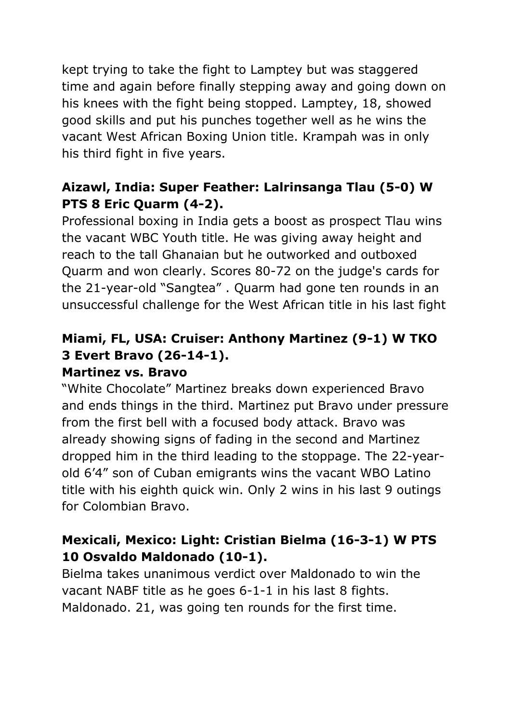kept trying to take the fight to Lamptey but was staggered time and again before finally stepping away and going down on his knees with the fight being stopped. Lamptey, 18, showed good skills and put his punches together well as he wins the vacant West African Boxing Union title. Krampah was in only his third fight in five years.

## **Aizawl, India: Super Feather: Lalrinsanga Tlau (5-0) W PTS 8 Eric Quarm (4-2).**

Professional boxing in India gets a boost as prospect Tlau wins the vacant WBC Youth title. He was giving away height and reach to the tall Ghanaian but he outworked and outboxed Quarm and won clearly. Scores 80-72 on the judge's cards for the 21-year-old "Sangtea" . Quarm had gone ten rounds in an unsuccessful challenge for the West African title in his last fight

# **Miami, FL, USA: Cruiser: Anthony Martinez (9-1) W TKO 3 Evert Bravo (26-14-1).**

#### **Martinez vs. Bravo**

"White Chocolate" Martinez breaks down experienced Bravo and ends things in the third. Martinez put Bravo under pressure from the first bell with a focused body attack. Bravo was already showing signs of fading in the second and Martinez dropped him in the third leading to the stoppage. The 22-yearold 6'4" son of Cuban emigrants wins the vacant WBO Latino title with his eighth quick win. Only 2 wins in his last 9 outings for Colombian Bravo.

#### **Mexicali, Mexico: Light: Cristian Bielma (16-3-1) W PTS 10 Osvaldo Maldonado (10-1).**

Bielma takes unanimous verdict over Maldonado to win the vacant NABF title as he goes 6-1-1 in his last 8 fights. Maldonado. 21, was going ten rounds for the first time.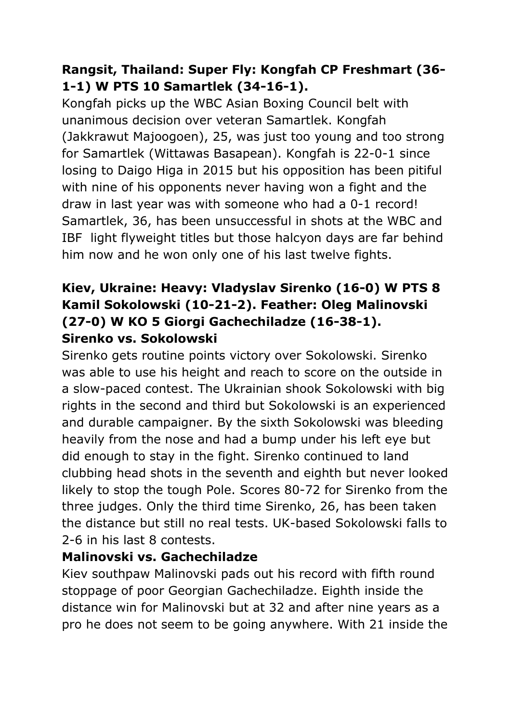## **Rangsit, Thailand: Super Fly: Kongfah CP Freshmart (36- 1-1) W PTS 10 Samartlek (34-16-1).**

Kongfah picks up the WBC Asian Boxing Council belt with unanimous decision over veteran Samartlek. Kongfah (Jakkrawut Majoogoen), 25, was just too young and too strong for Samartlek (Wittawas Basapean). Kongfah is 22-0-1 since losing to Daigo Higa in 2015 but his opposition has been pitiful with nine of his opponents never having won a fight and the draw in last year was with someone who had a 0-1 record! Samartlek, 36, has been unsuccessful in shots at the WBC and IBF light flyweight titles but those halcyon days are far behind him now and he won only one of his last twelve fights.

# **Kiev, Ukraine: Heavy: Vladyslav Sirenko (16-0) W PTS 8 Kamil Sokolowski (10-21-2). Feather: Oleg Malinovski (27-0) W KO 5 Giorgi Gachechiladze (16-38-1). Sirenko vs. Sokolowski**

Sirenko gets routine points victory over Sokolowski. Sirenko was able to use his height and reach to score on the outside in a slow-paced contest. The Ukrainian shook Sokolowski with big rights in the second and third but Sokolowski is an experienced and durable campaigner. By the sixth Sokolowski was bleeding heavily from the nose and had a bump under his left eye but did enough to stay in the fight. Sirenko continued to land clubbing head shots in the seventh and eighth but never looked likely to stop the tough Pole. Scores 80-72 for Sirenko from the three judges. Only the third time Sirenko, 26, has been taken the distance but still no real tests. UK-based Sokolowski falls to 2-6 in his last 8 contests.

## **Malinovski vs. Gachechiladze**

Kiev southpaw Malinovski pads out his record with fifth round stoppage of poor Georgian Gachechiladze. Eighth inside the distance win for Malinovski but at 32 and after nine years as a pro he does not seem to be going anywhere. With 21 inside the